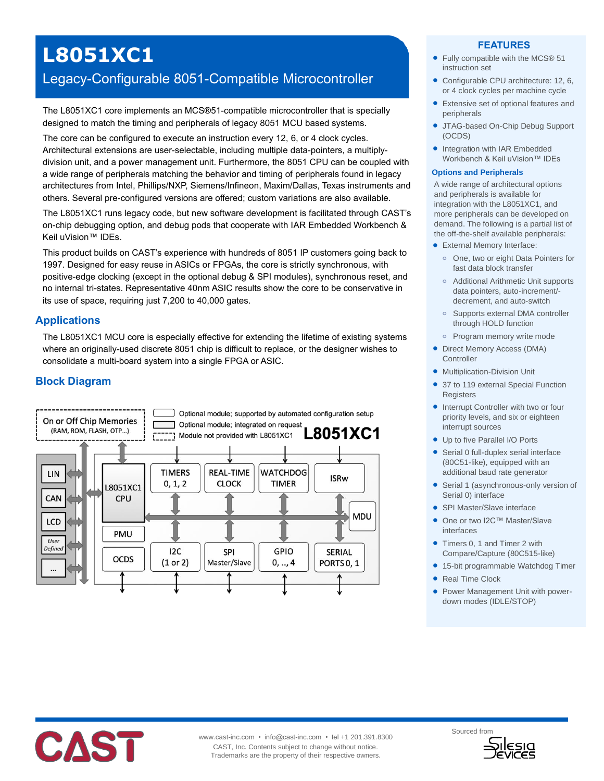# **L8051XC1**

# Legacy-Configurable 8051-Compatible Microcontroller

The L8051XC1 core implements an MCS®51-compatible microcontroller that is specially designed to match the timing and peripherals of legacy 8051 MCU based systems.

The core can be configured to execute an instruction every 12, 6, or 4 clock cycles. Architectural extensions are user-selectable, including multiple data-pointers, a multiplydivision unit, and a power management unit. Furthermore, the 8051 CPU can be coupled with a wide range of peripherals matching the behavior and timing of peripherals found in legacy architectures from Intel, Phillips/NXP, Siemens/Infineon, Maxim/Dallas, Texas instruments and others. Several pre-configured versions are offered; custom variations are also available.

The L8051XC1 runs legacy code, but new software development is facilitated through CAST's on-chip debugging option, and debug pods that cooperate with IAR Embedded Workbench & Keil uVision™ IDEs.

This product builds on CAST's experience with hundreds of 8051 IP customers going back to 1997. Designed for easy reuse in ASICs or FPGAs, the core is strictly synchronous, with positive-edge clocking (except in the optional debug & SPI modules), synchronous reset, and no internal tri-states. Representative 40nm ASIC results show the core to be conservative in its use of space, requiring just 7,200 to 40,000 gates.

# **Applications**

The L8051XC1 MCU core is especially effective for extending the lifetime of existing systems where an originally-used discrete 8051 chip is difficult to replace, or the designer wishes to consolidate a multi-board system into a single FPGA or ASIC.

# **Block Diagram**



#### **FEATURES**

- Fully compatible with the MCS® 51 instruction set
- Configurable CPU architecture: 12, 6, or 4 clock cycles per machine cycle
- Extensive set of optional features and peripherals
- JTAG-based On-Chip Debug Support (OCDS)
- Integration with IAR Embedded Workbench & Keil uVision™ IDEs

#### **Options and Peripherals**

A wide range of architectural options and peripherals is available for integration with the L8051XC1, and more peripherals can be developed on demand. The following is a partial list of the off-the-shelf available peripherals:

- External Memory Interface:
- **o** One, two or eight Data Pointers for fast data block transfer
- **o** Additional Arithmetic Unit supports data pointers, auto-increment/ decrement, and auto-switch
- **o** Supports external DMA controller through HOLD function
- **o** Program memory write mode
- Direct Memory Access (DMA) **Controller**
- **•** Multiplication-Division Unit
- 37 to 119 external Special Function **Registers**
- Interrupt Controller with two or four priority levels, and six or eighteen interrupt sources
- Up to five Parallel I/O Ports
- Serial 0 full-duplex serial interface (80C51-like), equipped with an additional baud rate generator
- Serial 1 (asynchronous-only version of Serial 0) interface
- SPI Master/Slave interface
- One or two I2C™ Master/Slave interfaces
- Timers 0, 1 and Timer 2 with Compare/Capture (80C515-like)
- 15-bit programmable Watchdog Timer
- Real Time Clock
- Power Management Unit with powerdown modes (IDLE/STOP)